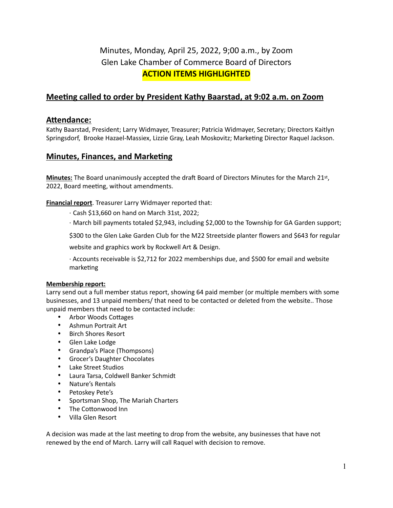# Minutes, Monday, April 25, 2022, 9;00 a.m., by Zoom Glen Lake Chamber of Commerce Board of Directors **ACTION ITEMS HIGHLIGHTED**

## **Meeting called to order by President Kathy Baarstad, at 9:02 a.m. on Zoom**

## **Attendance:**

Kathy Baarstad, President; Larry Widmayer, Treasurer; Patricia Widmayer, Secretary; Directors Kaitlyn Springsdorf, Brooke Hazael-Massiex, Lizzie Gray, Leah Moskovitz; Marketing Director Raquel Jackson.

## **Minutes, Finances, and Marketing**

**Minutes:** The Board unanimously accepted the draft Board of Directors Minutes for the March 21st, 2022, Board meeting, without amendments.

**Financial report**. Treasurer Larry Widmayer reported that:

· Cash \$13,660 on hand on March 31st, 2022;

· March bill payments totaled \$2,943, including \$2,000 to the Township for GA Garden support;

\$300 to the Glen Lake Garden Club for the M22 Streetside planter flowers and \$643 for regular

website and graphics work by Rockwell Art & Design.

· Accounts receivable is \$2,712 for 2022 memberships due, and \$500 for email and website marketing

#### **Membership report:**

Larry send out a full member status report, showing 64 paid member (or multiple members with some businesses, and 13 unpaid members/ that need to be contacted or deleted from the website.. Those unpaid members that need to be contacted include:

- Arbor Woods Cottages
- Ashmun Portrait Art
- Birch Shores Resort
- Glen Lake Lodge
- Grandpa's Place (Thompsons)
- Grocer's Daughter Chocolates
- Lake Street Studios
- Laura Tarsa, Coldwell Banker Schmidt
- Nature's Rentals
- Petoskey Pete's
- Sportsman Shop, The Mariah Charters
- The Cottonwood Inn
- Villa Glen Resort

A decision was made at the last meeting to drop from the website, any businesses that have not renewed by the end of March. Larry will call Raquel with decision to remove.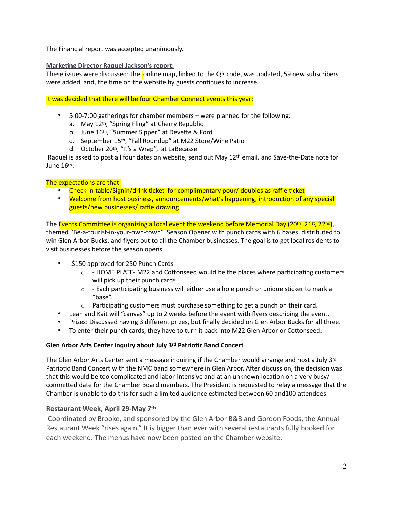The Financial report was accepted unanimously.

#### **Marketing Director Raquel Jackson's report:**

These issues were discussed: the online map, linked to the QR code, was updated, 59 new subscribers were added, and, the time on the website by guests continues to increase.

It was decided that there will be four Chamber Connect events this year:

- 5:00-7:00 gatherings for chamber members were planned for the following:
	- a. May 12th, "Spring Fling" at Cherry Republic
	- b. June 16<sup>th</sup>, "Summer Sipper" at Devette & Ford
	- c. September 15th, "Fall Roundup" at M22 Store/Wine Patio
	- d. October 20th, "It's a Wrap", at LaBecasse

 Raquel is asked to post all four dates on website, send out May 12th email, and Save-the-Date note for June 16th.

#### The expectations are that

- Check-in table/Signin/drink ticket for complimentary pour/ doubles as raffle ticket
- Welcome from host business, announcements/what's happening, introduction of any special guests/new businesses/ raffle drawing

The Events Committee is organizing a local event the weekend before Memorial Day (20<sup>th</sup>, 21<sup>st</sup>, 22<sup>nd</sup>), themed "Be-a-tourist-in-your-own-town" Season Opener with punch cards with 6 bases distributed to win Glen Arbor Bucks, and flyers out to all the Chamber businesses. The goal is to get local residents to

visit businesses before the season opens.

- -\$150 approved for 250 Punch Cards
	- $\circ$  HOME PLATE- M22 and Cottonseed would be the places where participating customers will pick up their punch cards.
	- $\circ$  Each participating business will either use a hole punch or unique sticker to mark a "base".
	- $\circ$  Participating customers must purchase something to get a punch on their card.
- Leah and Kait will "canvas" up to 2 weeks before the event with flyers describing the event.
- Prizes: Discussed having 3 different prizes, but finally decided on Glen Arbor Bucks for all three.
- To enter their punch cards, they have to turn it back into M22 Glen Arbor or Cottonseed.

#### **Glen Arbor Arts Center inquiry about July 3rd Patriotic Band Concert**

The Glen Arbor Arts Center sent a message inquiring if the Chamber would arrange and host a July 3rd Patriotic Band Concert with the NMC band somewhere in Glen Arbor. After discussion, the decision was that this would be too complicated and labor-intensive and at an unknown location on a very busy/ committed date for the Chamber Board members. The President is requested to relay a message that the Chamber is unable to do this for such a limited audience estimated between 60 and100 attendees.

#### **Restaurant Week, April 29-May 7th**

 Coordinated by Brooke, and sponsored by the Glen Arbor B&B and Gordon Foods, the Annual Restaurant Week "rises again." It is bigger than ever with several restaurants fully booked for each weekend. The menus have now been posted on the Chamber website.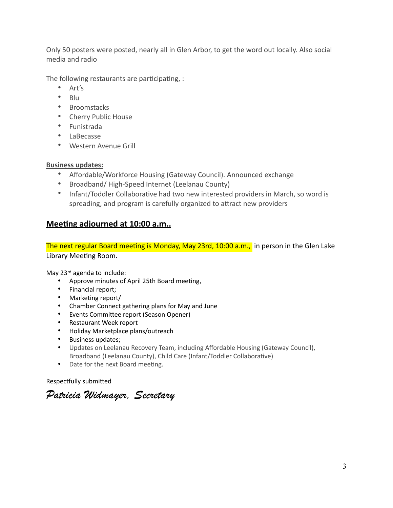Only 50 posters were posted, nearly all in Glen Arbor, to get the word out locally. Also social media and radio

The following restaurants are participating, :

- Art's
- Blu
- Broomstacks
- Cherry Public House
- Funistrada
- LaBecasse
- Western Avenue Grill

### **Business updates:**

- Affordable/Workforce Housing (Gateway Council). Announced exchange
- Broadband/ High-Speed Internet (Leelanau County)
- Infant/Toddler Collaborative had two new interested providers in March, so word is spreading, and program is carefully organized to attract new providers

## **Meeting adjourned at 10:00 a.m..**

The next regular Board meeting is Monday, May 23rd, 10:00 a.m., in person in the Glen Lake Library Meeting Room.

May 23rd agenda to include:

- Approve minutes of April 25th Board meeting,
- Financial report;
- Marketing report/
- Chamber Connect gathering plans for May and June
- Events Committee report (Season Opener)
- Restaurant Week report
- Holiday Marketplace plans/outreach
- Business updates;
- Updates on Leelanau Recovery Team, including Affordable Housing (Gateway Council), Broadband (Leelanau County), Child Care (Infant/Toddler Collaborative)
- Date for the next Board meeting.

Respectfully submitted

*Patricia Widmayer, Secretary*